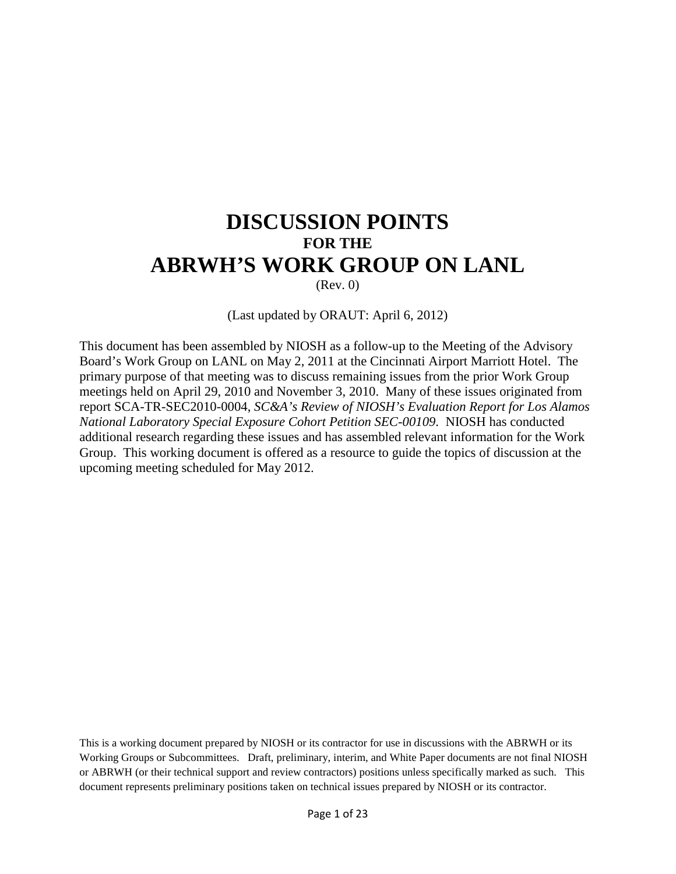# **DISCUSSION POINTS FOR THE ABRWH'S WORK GROUP ON LANL**

(Rev. 0)

#### (Last updated by ORAUT: April 6, 2012)

This document has been assembled by NIOSH as a follow-up to the Meeting of the Advisory Board's Work Group on LANL on May 2, 2011 at the Cincinnati Airport Marriott Hotel. The primary purpose of that meeting was to discuss remaining issues from the prior Work Group meetings held on April 29, 2010 and November 3, 2010. Many of these issues originated from report SCA-TR-SEC2010-0004, *SC&A's Review of NIOSH's Evaluation Report for Los Alamos National Laboratory Special Exposure Cohort Petition SEC-00109*. NIOSH has conducted additional research regarding these issues and has assembled relevant information for the Work Group. This working document is offered as a resource to guide the topics of discussion at the upcoming meeting scheduled for May 2012.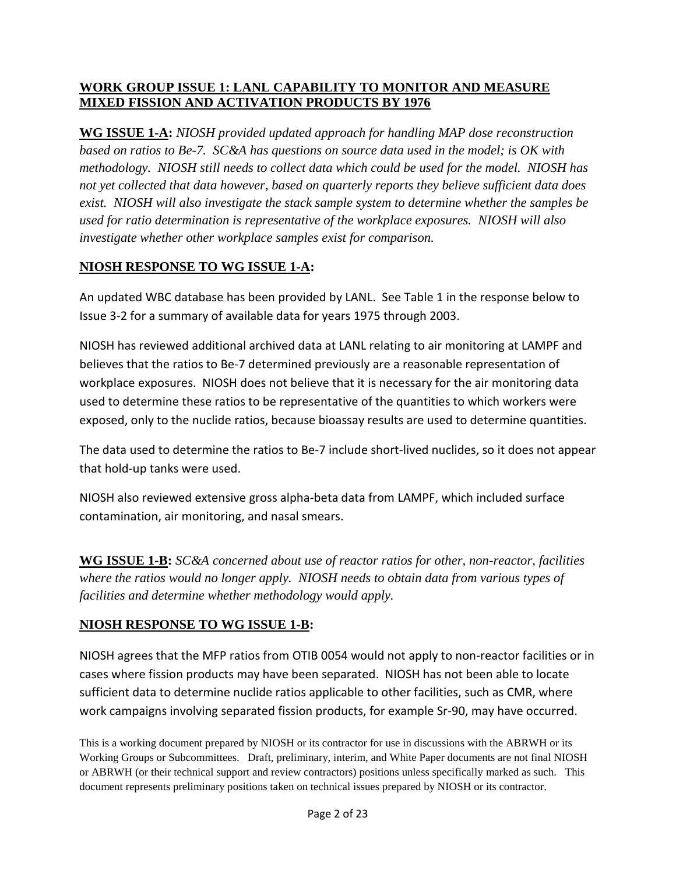## **WORK GROUP ISSUE 1: LANL CAPABILITY TO MONITOR AND MEASURE MIXED FISSION AND ACTIVATION PRODUCTS BY 1976**

**WG ISSUE 1-A:** *NIOSH provided updated approach for handling MAP dose reconstruction based on ratios to Be-7. SC&A has questions on source data used in the model; is OK with methodology. NIOSH still needs to collect data which could be used for the model. NIOSH has not yet collected that data however, based on quarterly reports they believe sufficient data does exist. NIOSH will also investigate the stack sample system to determine whether the samples be used for ratio determination is representative of the workplace exposures. NIOSH will also investigate whether other workplace samples exist for comparison.*

# **NIOSH RESPONSE TO WG ISSUE 1-A:**

An updated WBC database has been provided by LANL. See Table 1 in the response below to Issue 3-2 for a summary of available data for years 1975 through 2003.

NIOSH has reviewed additional archived data at LANL relating to air monitoring at LAMPF and believes that the ratios to Be-7 determined previously are a reasonable representation of workplace exposures. NIOSH does not believe that it is necessary for the air monitoring data used to determine these ratios to be representative of the quantities to which workers were exposed, only to the nuclide ratios, because bioassay results are used to determine quantities.

The data used to determine the ratios to Be-7 include short-lived nuclides, so it does not appear that hold-up tanks were used.

NIOSH also reviewed extensive gross alpha-beta data from LAMPF, which included surface contamination, air monitoring, and nasal smears.

**WG ISSUE 1-B:** *SC&A concerned about use of reactor ratios for other, non-reactor, facilities where the ratios would no longer apply. NIOSH needs to obtain data from various types of facilities and determine whether methodology would apply.*

# **NIOSH RESPONSE TO WG ISSUE 1-B:**

NIOSH agrees that the MFP ratios from OTIB 0054 would not apply to non-reactor facilities or in cases where fission products may have been separated. NIOSH has not been able to locate sufficient data to determine nuclide ratios applicable to other facilities, such as CMR, where work campaigns involving separated fission products, for example Sr-90, may have occurred.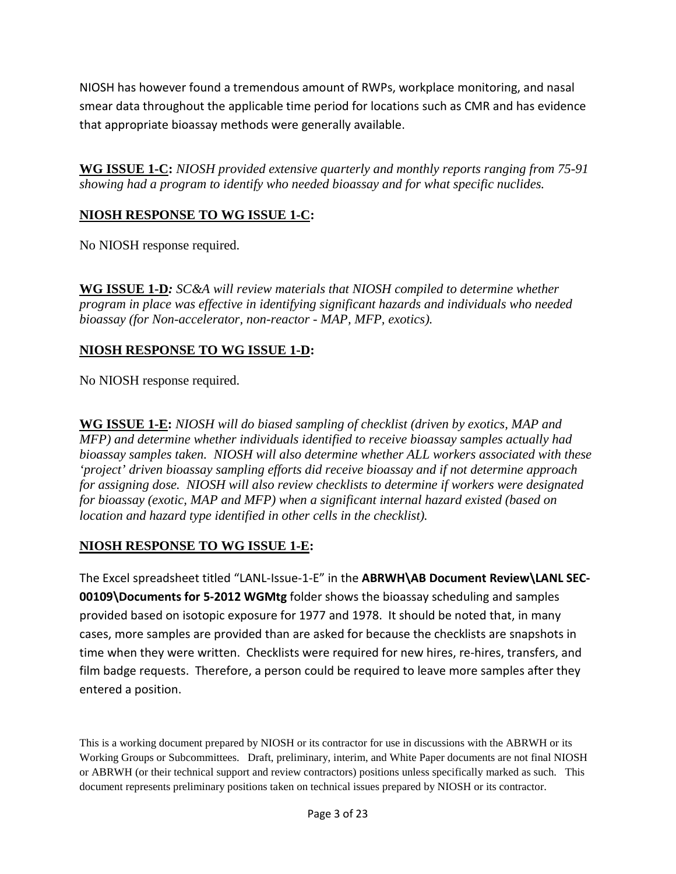NIOSH has however found a tremendous amount of RWPs, workplace monitoring, and nasal smear data throughout the applicable time period for locations such as CMR and has evidence that appropriate bioassay methods were generally available.

**WG ISSUE 1-C:** *NIOSH provided extensive quarterly and monthly reports ranging from 75-91 showing had a program to identify who needed bioassay and for what specific nuclides.*

# **NIOSH RESPONSE TO WG ISSUE 1-C:**

No NIOSH response required.

**WG ISSUE 1-D***: SC&A will review materials that NIOSH compiled to determine whether program in place was effective in identifying significant hazards and individuals who needed bioassay (for Non-accelerator, non-reactor - MAP, MFP, exotics).*

# **NIOSH RESPONSE TO WG ISSUE 1-D:**

No NIOSH response required.

**WG ISSUE 1-E:** *NIOSH will do biased sampling of checklist (driven by exotics, MAP and MFP) and determine whether individuals identified to receive bioassay samples actually had bioassay samples taken. NIOSH will also determine whether ALL workers associated with these 'project' driven bioassay sampling efforts did receive bioassay and if not determine approach for assigning dose. NIOSH will also review checklists to determine if workers were designated for bioassay (exotic, MAP and MFP) when a significant internal hazard existed (based on location and hazard type identified in other cells in the checklist).*

# **NIOSH RESPONSE TO WG ISSUE 1-E:**

The Excel spreadsheet titled "LANL-Issue-1-E" in the **ABRWH\AB Document Review\LANL SEC-00109\Documents for 5-2012 WGMtg** folder shows the bioassay scheduling and samples provided based on isotopic exposure for 1977 and 1978. It should be noted that, in many cases, more samples are provided than are asked for because the checklists are snapshots in time when they were written. Checklists were required for new hires, re-hires, transfers, and film badge requests. Therefore, a person could be required to leave more samples after they entered a position.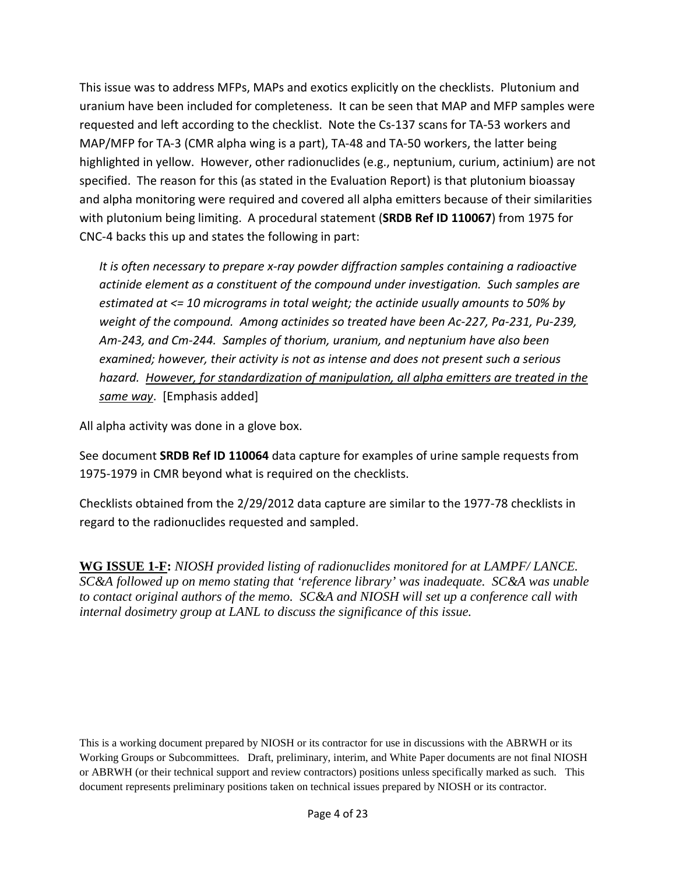This issue was to address MFPs, MAPs and exotics explicitly on the checklists. Plutonium and uranium have been included for completeness. It can be seen that MAP and MFP samples were requested and left according to the checklist. Note the Cs-137 scans for TA-53 workers and MAP/MFP for TA-3 (CMR alpha wing is a part), TA-48 and TA-50 workers, the latter being highlighted in yellow. However, other radionuclides (e.g., neptunium, curium, actinium) are not specified. The reason for this (as stated in the Evaluation Report) is that plutonium bioassay and alpha monitoring were required and covered all alpha emitters because of their similarities with plutonium being limiting. A procedural statement (**SRDB Ref ID 110067**) from 1975 for CNC-4 backs this up and states the following in part:

*It is often necessary to prepare x-ray powder diffraction samples containing a radioactive actinide element as a constituent of the compound under investigation. Such samples are estimated at <= 10 micrograms in total weight; the actinide usually amounts to 50% by weight of the compound. Among actinides so treated have been Ac-227, Pa-231, Pu-239, Am-243, and Cm-244. Samples of thorium, uranium, and neptunium have also been examined; however, their activity is not as intense and does not present such a serious hazard. However, for standardization of manipulation, all alpha emitters are treated in the same way*. [Emphasis added]

All alpha activity was done in a glove box.

See document **SRDB Ref ID 110064** data capture for examples of urine sample requests from 1975-1979 in CMR beyond what is required on the checklists.

Checklists obtained from the 2/29/2012 data capture are similar to the 1977-78 checklists in regard to the radionuclides requested and sampled.

**WG ISSUE 1-F:** *NIOSH provided listing of radionuclides monitored for at LAMPF/ LANCE. SC&A followed up on memo stating that 'reference library' was inadequate. SC&A was unable to contact original authors of the memo. SC&A and NIOSH will set up a conference call with internal dosimetry group at LANL to discuss the significance of this issue.*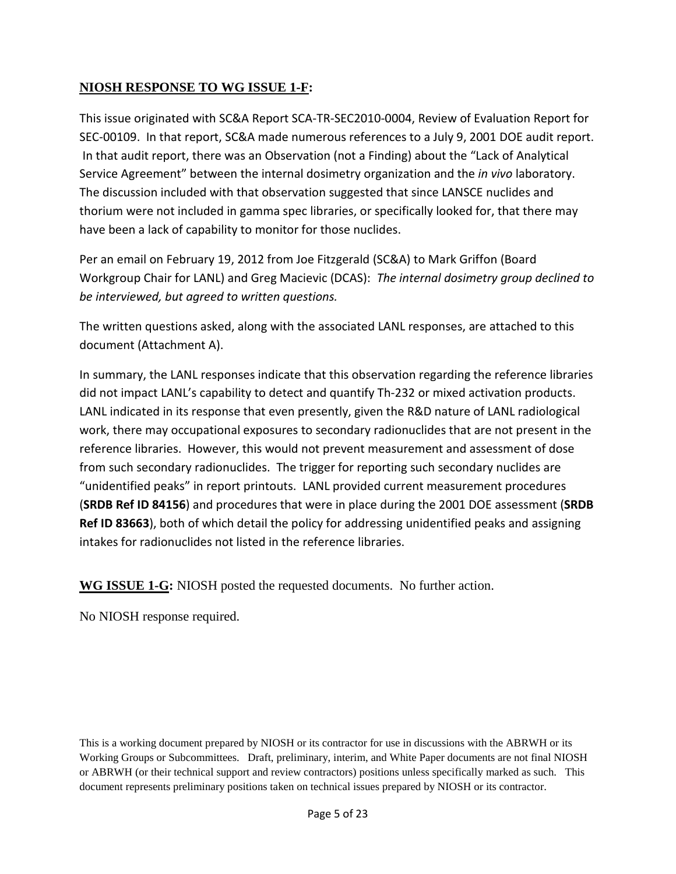# **NIOSH RESPONSE TO WG ISSUE 1-F:**

This issue originated with SC&A Report SCA-TR-SEC2010-0004, Review of Evaluation Report for SEC-00109. In that report, SC&A made numerous references to a July 9, 2001 DOE audit report. In that audit report, there was an Observation (not a Finding) about the "Lack of Analytical Service Agreement" between the internal dosimetry organization and the *in vivo* laboratory. The discussion included with that observation suggested that since LANSCE nuclides and thorium were not included in gamma spec libraries, or specifically looked for, that there may have been a lack of capability to monitor for those nuclides.

Per an email on February 19, 2012 from Joe Fitzgerald (SC&A) to Mark Griffon (Board Workgroup Chair for LANL) and Greg Macievic (DCAS): *The internal dosimetry group declined to be interviewed, but agreed to written questions.*

The written questions asked, along with the associated LANL responses, are attached to this document (Attachment A).

In summary, the LANL responses indicate that this observation regarding the reference libraries did not impact LANL's capability to detect and quantify Th-232 or mixed activation products. LANL indicated in its response that even presently, given the R&D nature of LANL radiological work, there may occupational exposures to secondary radionuclides that are not present in the reference libraries. However, this would not prevent measurement and assessment of dose from such secondary radionuclides. The trigger for reporting such secondary nuclides are "unidentified peaks" in report printouts. LANL provided current measurement procedures (**SRDB Ref ID 84156**) and procedures that were in place during the 2001 DOE assessment (**SRDB Ref ID 83663**), both of which detail the policy for addressing unidentified peaks and assigning intakes for radionuclides not listed in the reference libraries.

**WG ISSUE 1-G:** NIOSH posted the requested documents. No further action.

No NIOSH response required.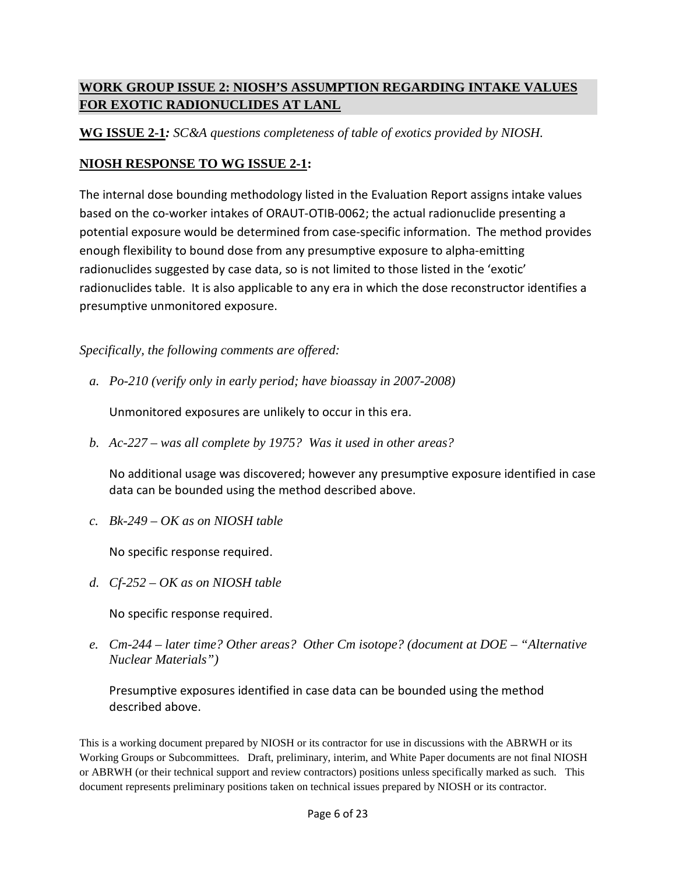# **WORK GROUP ISSUE 2: NIOSH'S ASSUMPTION REGARDING INTAKE VALUES FOR EXOTIC RADIONUCLIDES AT LANL**

**WG ISSUE 2-1***: SC&A questions completeness of table of exotics provided by NIOSH.* 

# **NIOSH RESPONSE TO WG ISSUE 2-1:**

The internal dose bounding methodology listed in the Evaluation Report assigns intake values based on the co-worker intakes of ORAUT-OTIB-0062; the actual radionuclide presenting a potential exposure would be determined from case-specific information. The method provides enough flexibility to bound dose from any presumptive exposure to alpha-emitting radionuclides suggested by case data, so is not limited to those listed in the 'exotic' radionuclides table. It is also applicable to any era in which the dose reconstructor identifies a presumptive unmonitored exposure.

*Specifically, the following comments are offered:*

*a. Po-210 (verify only in early period; have bioassay in 2007-2008)*

Unmonitored exposures are unlikely to occur in this era.

*b. Ac-227 – was all complete by 1975? Was it used in other areas?*

No additional usage was discovered; however any presumptive exposure identified in case data can be bounded using the method described above.

*c. Bk-249 – OK as on NIOSH table*

No specific response required.

*d. Cf-252 – OK as on NIOSH table*

No specific response required.

*e. Cm-244 – later time? Other areas? Other Cm isotope? (document at DOE – "Alternative Nuclear Materials")*

Presumptive exposures identified in case data can be bounded using the method described above.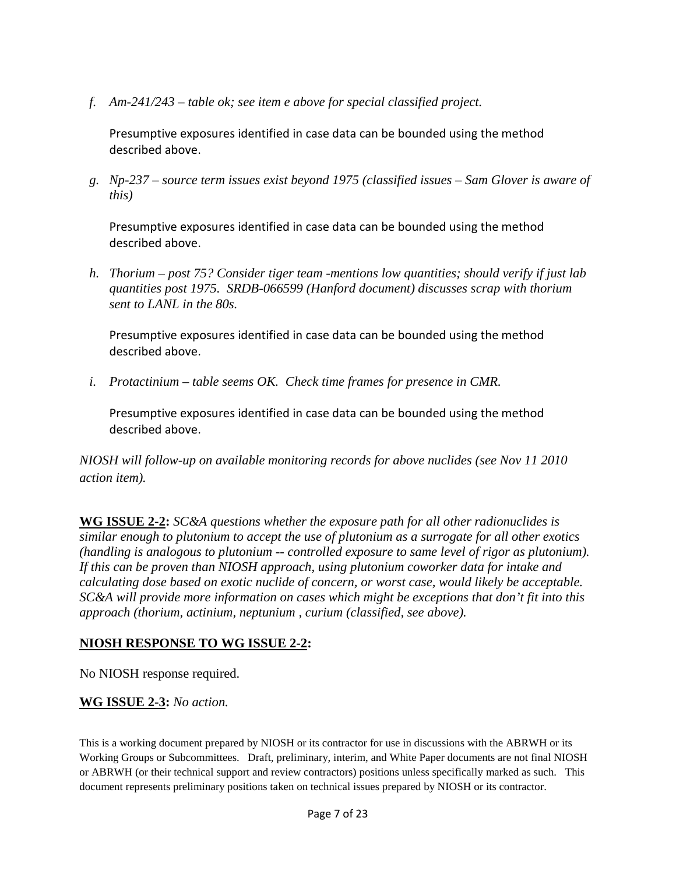*f. Am-241/243 – table ok; see item e above for special classified project.*

Presumptive exposures identified in case data can be bounded using the method described above.

*g. Np-237 – source term issues exist beyond 1975 (classified issues – Sam Glover is aware of this)*

Presumptive exposures identified in case data can be bounded using the method described above.

*h. Thorium – post 75? Consider tiger team -mentions low quantities; should verify if just lab quantities post 1975. SRDB-066599 (Hanford document) discusses scrap with thorium sent to LANL in the 80s.*

Presumptive exposures identified in case data can be bounded using the method described above.

*i. Protactinium – table seems OK. Check time frames for presence in CMR.*

Presumptive exposures identified in case data can be bounded using the method described above.

*NIOSH will follow-up on available monitoring records for above nuclides (see Nov 11 2010 action item).* 

**WG ISSUE 2-2:** *SC&A questions whether the exposure path for all other radionuclides is similar enough to plutonium to accept the use of plutonium as a surrogate for all other exotics (handling is analogous to plutonium -- controlled exposure to same level of rigor as plutonium). If this can be proven than NIOSH approach, using plutonium coworker data for intake and calculating dose based on exotic nuclide of concern, or worst case, would likely be acceptable. SC&A will provide more information on cases which might be exceptions that don't fit into this approach (thorium, actinium, neptunium , curium (classified, see above).*

# **NIOSH RESPONSE TO WG ISSUE 2-2:**

No NIOSH response required.

#### **WG ISSUE 2-3:** *No action.*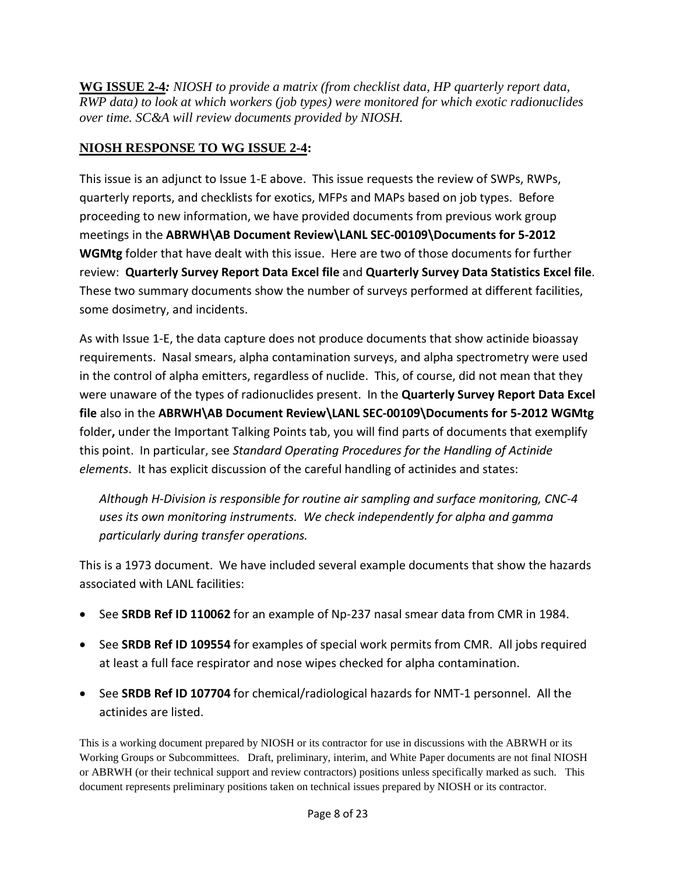**WG ISSUE 2-4***: NIOSH to provide a matrix (from checklist data, HP quarterly report data, RWP data) to look at which workers (job types) were monitored for which exotic radionuclides over time. SC&A will review documents provided by NIOSH.*

# **NIOSH RESPONSE TO WG ISSUE 2-4:**

This issue is an adjunct to Issue 1-E above. This issue requests the review of SWPs, RWPs, quarterly reports, and checklists for exotics, MFPs and MAPs based on job types. Before proceeding to new information, we have provided documents from previous work group meetings in the **ABRWH\AB Document Review\LANL SEC-00109\Documents for 5-2012 WGMtg** folder that have dealt with this issue. Here are two of those documents for further review: **Quarterly Survey Report Data Excel file** and **Quarterly Survey Data Statistics Excel file**. These two summary documents show the number of surveys performed at different facilities, some dosimetry, and incidents.

As with Issue 1-E, the data capture does not produce documents that show actinide bioassay requirements. Nasal smears, alpha contamination surveys, and alpha spectrometry were used in the control of alpha emitters, regardless of nuclide. This, of course, did not mean that they were unaware of the types of radionuclides present. In the **Quarterly Survey Report Data Excel file** also in the **ABRWH\AB Document Review\LANL SEC-00109\Documents for 5-2012 WGMtg** folder**,** under the Important Talking Points tab, you will find parts of documents that exemplify this point. In particular, see *Standard Operating Procedures for the Handling of Actinide elements*. It has explicit discussion of the careful handling of actinides and states:

*Although H-Division is responsible for routine air sampling and surface monitoring, CNC-4 uses its own monitoring instruments. We check independently for alpha and gamma particularly during transfer operations.*

This is a 1973 document. We have included several example documents that show the hazards associated with LANL facilities:

- See **SRDB Ref ID 110062** for an example of Np-237 nasal smear data from CMR in 1984.
- See **SRDB Ref ID 109554** for examples of special work permits from CMR. All jobs required at least a full face respirator and nose wipes checked for alpha contamination.
- See **SRDB Ref ID 107704** for chemical/radiological hazards for NMT-1 personnel. All the actinides are listed.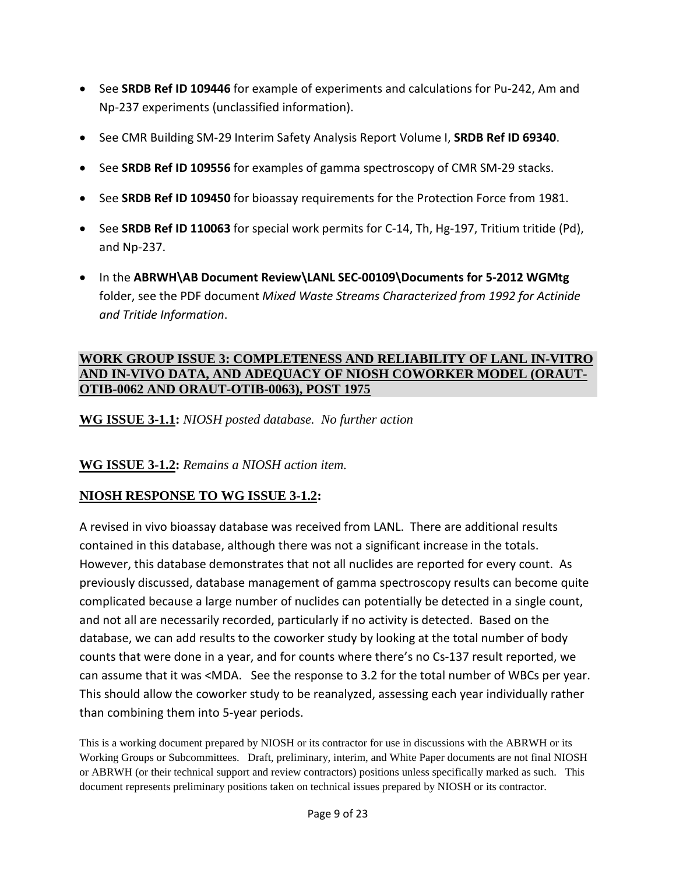- See **SRDB Ref ID 109446** for example of experiments and calculations for Pu-242, Am and Np-237 experiments (unclassified information).
- See CMR Building SM-29 Interim Safety Analysis Report Volume I, **SRDB Ref ID 69340**.
- See **SRDB Ref ID 109556** for examples of gamma spectroscopy of CMR SM-29 stacks.
- See **SRDB Ref ID 109450** for bioassay requirements for the Protection Force from 1981.
- See **SRDB Ref ID 110063** for special work permits for C-14, Th, Hg-197, Tritium tritide (Pd), and Np-237.
- In the **ABRWH\AB Document Review\LANL SEC-00109\Documents for 5-2012 WGMtg** folder, see the PDF document *Mixed Waste Streams Characterized from 1992 for Actinide and Tritide Information*.

#### **WORK GROUP ISSUE 3: COMPLETENESS AND RELIABILITY OF LANL IN-VITRO AND IN-VIVO DATA, AND ADEQUACY OF NIOSH COWORKER MODEL (ORAUT-OTIB-0062 AND ORAUT-OTIB-0063), POST 1975**

**WG ISSUE 3-1.1:** *NIOSH posted database. No further action*

#### **WG ISSUE 3-1.2:** *Remains a NIOSH action item.*

# **NIOSH RESPONSE TO WG ISSUE 3-1.2:**

A revised in vivo bioassay database was received from LANL. There are additional results contained in this database, although there was not a significant increase in the totals. However, this database demonstrates that not all nuclides are reported for every count. As previously discussed, database management of gamma spectroscopy results can become quite complicated because a large number of nuclides can potentially be detected in a single count, and not all are necessarily recorded, particularly if no activity is detected. Based on the database, we can add results to the coworker study by looking at the total number of body counts that were done in a year, and for counts where there's no Cs-137 result reported, we can assume that it was <MDA. See the response to 3.2 for the total number of WBCs per year. This should allow the coworker study to be reanalyzed, assessing each year individually rather than combining them into 5-year periods.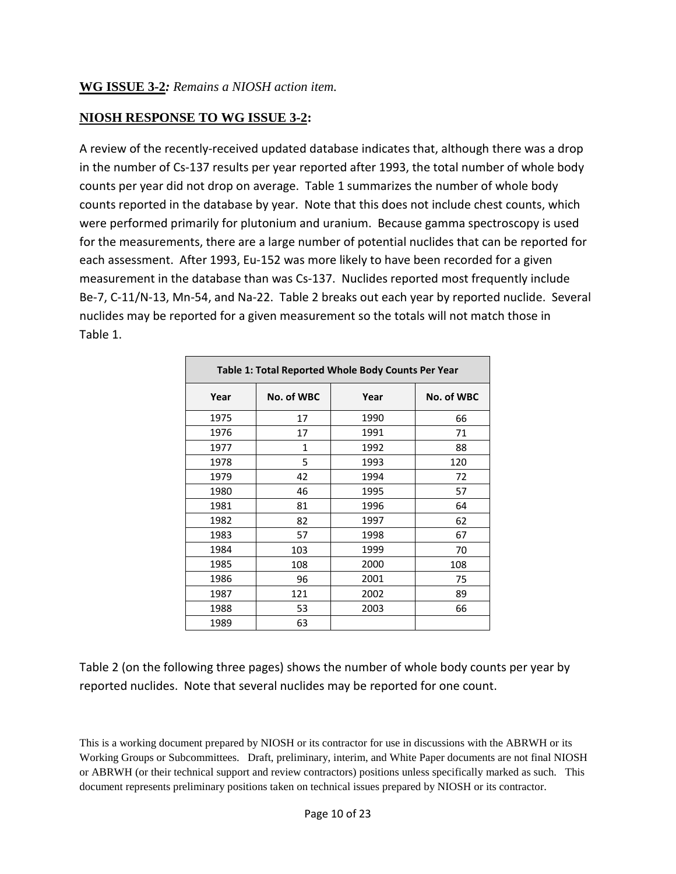# **NIOSH RESPONSE TO WG ISSUE 3-2:**

A review of the recently-received updated database indicates that, although there was a drop in the number of Cs-137 results per year reported after 1993, the total number of whole body counts per year did not drop on average. Table 1 summarizes the number of whole body counts reported in the database by year. Note that this does not include chest counts, which were performed primarily for plutonium and uranium. Because gamma spectroscopy is used for the measurements, there are a large number of potential nuclides that can be reported for each assessment. After 1993, Eu-152 was more likely to have been recorded for a given measurement in the database than was Cs-137. Nuclides reported most frequently include Be-7, C-11/N-13, Mn-54, and Na-22. Table 2 breaks out each year by reported nuclide. Several nuclides may be reported for a given measurement so the totals will not match those in Table 1.

|      | Table 1: Total Reported Whole Body Counts Per Year |      |            |  |  |  |  |  |  |  |  |  |  |  |
|------|----------------------------------------------------|------|------------|--|--|--|--|--|--|--|--|--|--|--|
| Year | No. of WBC                                         | Year | No. of WBC |  |  |  |  |  |  |  |  |  |  |  |
| 1975 | 17                                                 | 1990 | 66         |  |  |  |  |  |  |  |  |  |  |  |
| 1976 | 17                                                 | 1991 | 71         |  |  |  |  |  |  |  |  |  |  |  |
| 1977 | 1                                                  | 1992 | 88         |  |  |  |  |  |  |  |  |  |  |  |
| 1978 | 5                                                  | 1993 | 120        |  |  |  |  |  |  |  |  |  |  |  |
| 1979 | 42                                                 | 1994 | 72         |  |  |  |  |  |  |  |  |  |  |  |
| 1980 | 46                                                 | 1995 | 57         |  |  |  |  |  |  |  |  |  |  |  |
| 1981 | 81                                                 | 1996 | 64         |  |  |  |  |  |  |  |  |  |  |  |
| 1982 | 82                                                 | 1997 | 62         |  |  |  |  |  |  |  |  |  |  |  |
| 1983 | 57                                                 | 1998 | 67         |  |  |  |  |  |  |  |  |  |  |  |
| 1984 | 103                                                | 1999 | 70         |  |  |  |  |  |  |  |  |  |  |  |
| 1985 | 108                                                | 2000 | 108        |  |  |  |  |  |  |  |  |  |  |  |
| 1986 | 96                                                 | 2001 | 75         |  |  |  |  |  |  |  |  |  |  |  |
| 1987 | 121                                                | 2002 | 89         |  |  |  |  |  |  |  |  |  |  |  |
| 1988 | 53                                                 | 2003 | 66         |  |  |  |  |  |  |  |  |  |  |  |
| 1989 | 63                                                 |      |            |  |  |  |  |  |  |  |  |  |  |  |

Table 2 (on the following three pages) shows the number of whole body counts per year by reported nuclides. Note that several nuclides may be reported for one count.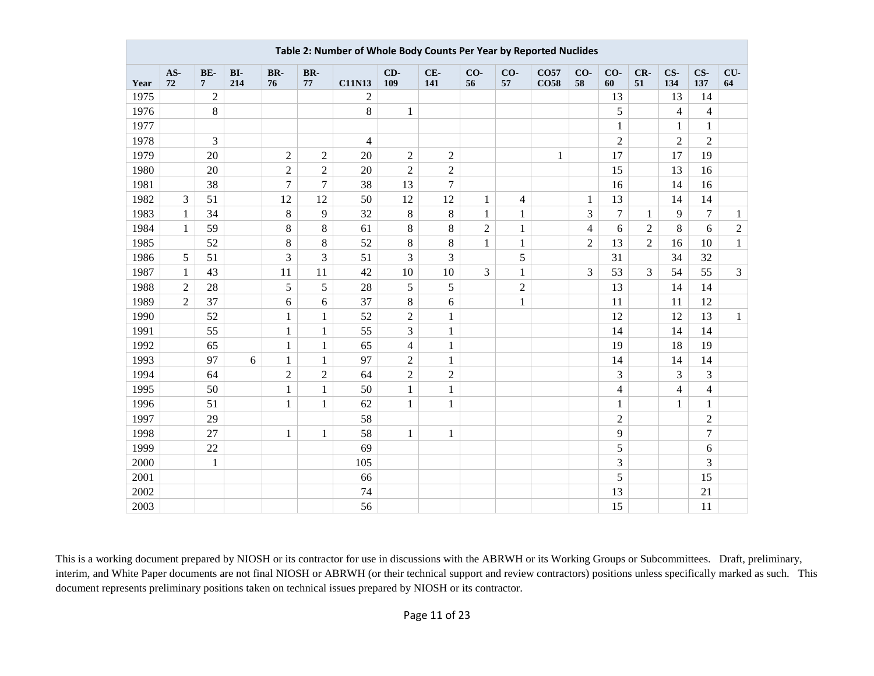|      | Table 2: Number of Whole Body Counts Per Year by Reported Nuclides |                       |            |                |                |                |                |                |                |                |                                 |                |                         |                |                |                |                |
|------|--------------------------------------------------------------------|-----------------------|------------|----------------|----------------|----------------|----------------|----------------|----------------|----------------|---------------------------------|----------------|-------------------------|----------------|----------------|----------------|----------------|
| Year | AS-<br>72                                                          | BE-<br>$\overline{7}$ | BI-<br>214 | BR-<br>76      | BR-<br>77      | <b>C11N13</b>  | CD-<br>109     | $CE-$<br>141   | CO-<br>56      | CO-<br>57      | CO <sub>57</sub><br><b>CO58</b> | CO-<br>58      | CO-<br>60               | CR-<br>51      | $CS-$<br>134   | CS-<br>137     | CU-<br>64      |
| 1975 |                                                                    | $\overline{2}$        |            |                |                | $\overline{2}$ |                |                |                |                |                                 |                | 13                      |                | 13             | 14             |                |
| 1976 |                                                                    | $\,8\,$               |            |                |                | 8              | $\mathbf{1}$   |                |                |                |                                 |                | 5                       |                | $\overline{4}$ | $\overline{4}$ |                |
| 1977 |                                                                    |                       |            |                |                |                |                |                |                |                |                                 |                | $\mathbf{1}$            |                | $\mathbf{1}$   | $\mathbf{1}$   |                |
| 1978 |                                                                    | 3                     |            |                |                | $\overline{4}$ |                |                |                |                |                                 |                | $\overline{2}$          |                | $\overline{2}$ | $\overline{2}$ |                |
| 1979 |                                                                    | 20                    |            | $\overline{2}$ | $\overline{2}$ | 20             | $\overline{2}$ | $\overline{2}$ |                |                | $\mathbf{1}$                    |                | 17                      |                | 17             | 19             |                |
| 1980 |                                                                    | 20                    |            | $\overline{2}$ | $\overline{2}$ | 20             | $\overline{c}$ | $\overline{2}$ |                |                |                                 |                | 15                      |                | 13             | 16             |                |
| 1981 |                                                                    | 38                    |            | $\overline{7}$ | $\tau$         | 38             | 13             | 7              |                |                |                                 |                | 16                      |                | 14             | 16             |                |
| 1982 | 3                                                                  | 51                    |            | 12             | 12             | 50             | 12             | 12             | $\mathbf{1}$   | $\overline{4}$ |                                 | $\mathbf{1}$   | 13                      |                | 14             | 14             |                |
| 1983 | $\mathbf{1}$                                                       | 34                    |            | 8              | 9              | 32             | $8\,$          | 8              | $\mathbf{1}$   | $\mathbf{1}$   |                                 | 3              | $\overline{7}$          | $\mathbf{1}$   | 9              | $\overline{7}$ | $\mathbf{1}$   |
| 1984 | $\mathbf{1}$                                                       | 59                    |            | 8              | $8\,$          | 61             | $8\,$          | 8              | $\overline{2}$ | $\mathbf{1}$   |                                 | $\overline{4}$ | 6                       | $\overline{2}$ | 8              | 6              | $\overline{2}$ |
| 1985 |                                                                    | 52                    |            | 8              | $8\,$          | 52             | $8\,$          | 8              | $\mathbf{1}$   | $\mathbf{1}$   |                                 | $\sqrt{2}$     | 13                      | $\overline{2}$ | 16             | 10             | $\mathbf{1}$   |
| 1986 | 5                                                                  | 51                    |            | 3              | $\overline{3}$ | 51             | 3              | 3              |                | 5              |                                 |                | 31                      |                | 34             | 32             |                |
| 1987 | $\mathbf{1}$                                                       | 43                    |            | 11             | 11             | 42             | 10             | 10             | 3              | $\mathbf{1}$   |                                 | 3              | 53                      | 3              | 54             | 55             | $\overline{3}$ |
| 1988 | $\mathbf{2}$                                                       | 28                    |            | 5              | 5              | 28             | 5              | 5              |                | $\sqrt{2}$     |                                 |                | 13                      |                | 14             | 14             |                |
| 1989 | $\overline{2}$                                                     | 37                    |            | 6              | 6              | 37             | $8\,$          | 6              |                | $\mathbf{1}$   |                                 |                | 11                      |                | 11             | 12             |                |
| 1990 |                                                                    | 52                    |            | $\mathbf{1}$   | $\mathbf{1}$   | 52             | $\overline{2}$ | $\mathbf{1}$   |                |                |                                 |                | 12                      |                | 12             | 13             | $\mathbf{1}$   |
| 1991 |                                                                    | 55                    |            | $\mathbf{1}$   | $\,1$          | 55             | 3              | $\mathbf{1}$   |                |                |                                 |                | 14                      |                | 14             | 14             |                |
| 1992 |                                                                    | 65                    |            | $\mathbf{1}$   | $\mathbf{1}$   | 65             | $\overline{4}$ | $\mathbf{1}$   |                |                |                                 |                | 19                      |                | 18             | 19             |                |
| 1993 |                                                                    | 97                    | 6          | $\mathbf{1}$   | $\mathbf{1}$   | 97             | $\overline{2}$ | $\mathbf{1}$   |                |                |                                 |                | 14                      |                | 14             | 14             |                |
| 1994 |                                                                    | 64                    |            | $\overline{c}$ | $\overline{c}$ | 64             | $\overline{c}$ | $\overline{c}$ |                |                |                                 |                | 3                       |                | $\overline{3}$ | 3              |                |
| 1995 |                                                                    | 50                    |            | $\mathbf{1}$   | $\mathbf{1}$   | 50             | $\mathbf{1}$   | $\mathbf{1}$   |                |                |                                 |                | $\overline{\mathbf{4}}$ |                | $\overline{4}$ | $\overline{4}$ |                |
| 1996 |                                                                    | 51                    |            | $\mathbf{1}$   | $\mathbf{1}$   | 62             | $\mathbf{1}$   | $\mathbf{1}$   |                |                |                                 |                | $\mathbf{1}$            |                | $\mathbf{1}$   | $\mathbf{1}$   |                |
| 1997 |                                                                    | 29                    |            |                |                | 58             |                |                |                |                |                                 |                | $\overline{2}$          |                |                | $\overline{c}$ |                |
| 1998 |                                                                    | 27                    |            | $\mathbf{1}$   | $\mathbf{1}$   | 58             | $\mathbf{1}$   | $\mathbf{1}$   |                |                |                                 |                | 9                       |                |                | $\overline{7}$ |                |
| 1999 |                                                                    | 22                    |            |                |                | 69             |                |                |                |                |                                 |                | 5                       |                |                | 6              |                |
| 2000 |                                                                    | $\mathbf{1}$          |            |                |                | 105            |                |                |                |                |                                 |                | 3                       |                |                | 3              |                |
| 2001 |                                                                    |                       |            |                |                | 66             |                |                |                |                |                                 |                | 5                       |                |                | 15             |                |
| 2002 |                                                                    |                       |            |                |                | 74             |                |                |                |                |                                 |                | 13                      |                |                | 21             |                |
| 2003 |                                                                    |                       |            |                |                | 56             |                |                |                |                |                                 |                | 15                      |                |                | 11             |                |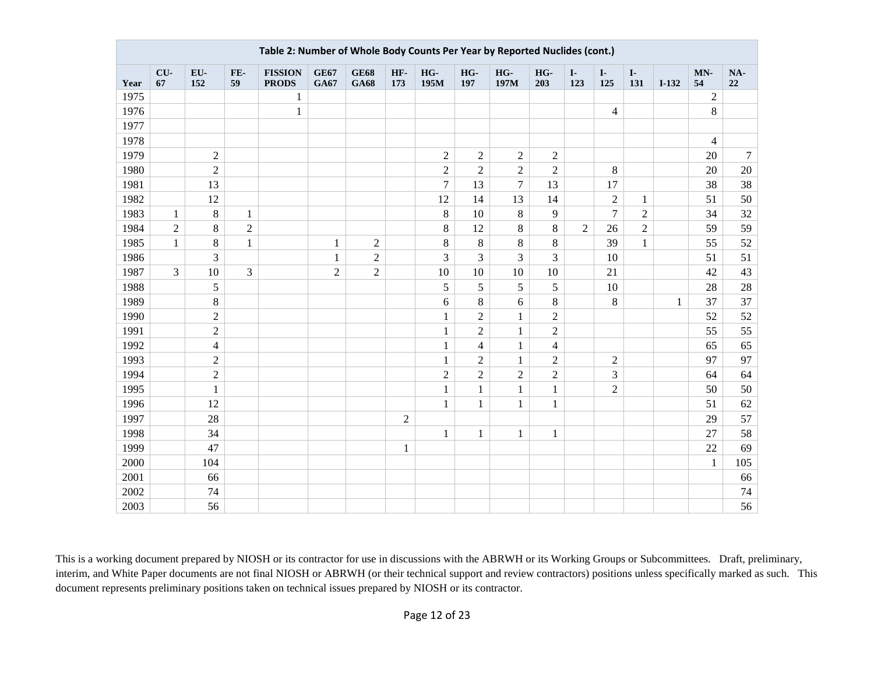|      | Table 2: Number of Whole Body Counts Per Year by Reported Nuclides (cont.) |                |                |                                |                            |                            |                |                  |                  |                |                |                     |                     |                     |              |                |           |
|------|----------------------------------------------------------------------------|----------------|----------------|--------------------------------|----------------------------|----------------------------|----------------|------------------|------------------|----------------|----------------|---------------------|---------------------|---------------------|--------------|----------------|-----------|
| Year | CU-<br>67                                                                  | EU-<br>152     | FE-<br>59      | <b>FISSION</b><br><b>PRODS</b> | <b>GE67</b><br><b>GA67</b> | <b>GE68</b><br><b>GA68</b> | HF-<br>173     | HG-<br>195M      | HG-<br>197       | HG-<br>197M    | HG-<br>203     | $\mathbf{I}$<br>123 | $\mathbf{I}$<br>125 | $\mathbf{I}$<br>131 | $I-132$      | MN-<br>54      | NA-<br>22 |
| 1975 |                                                                            |                |                | 1                              |                            |                            |                |                  |                  |                |                |                     |                     |                     |              | $\overline{2}$ |           |
| 1976 |                                                                            |                |                | $\mathbf 1$                    |                            |                            |                |                  |                  |                |                |                     | $\overline{4}$      |                     |              | $8\,$          |           |
| 1977 |                                                                            |                |                |                                |                            |                            |                |                  |                  |                |                |                     |                     |                     |              |                |           |
| 1978 |                                                                            |                |                |                                |                            |                            |                |                  |                  |                |                |                     |                     |                     |              | $\overline{4}$ |           |
| 1979 |                                                                            | $\overline{2}$ |                |                                |                            |                            |                | $\sqrt{2}$       | $\sqrt{2}$       | $\overline{c}$ | $\overline{2}$ |                     |                     |                     |              | 20             | $\tau$    |
| 1980 |                                                                            | $\overline{c}$ |                |                                |                            |                            |                | $\boldsymbol{2}$ | $\overline{c}$   | $\overline{c}$ | $\sqrt{2}$     |                     | $8\,$               |                     |              | 20             | 20        |
| 1981 |                                                                            | 13             |                |                                |                            |                            |                | $\overline{7}$   | 13               | $\overline{7}$ | 13             |                     | 17                  |                     |              | 38             | 38        |
| 1982 |                                                                            | 12             |                |                                |                            |                            |                | 12               | 14               | 13             | 14             |                     | $\overline{c}$      | $\mathbf{1}$        |              | 51             | 50        |
| 1983 | 1                                                                          | $\,8\,$        | 1              |                                |                            |                            |                | 8                | 10               | $8\,$          | 9              |                     | $\overline{7}$      | $\mathbf{2}$        |              | 34             | 32        |
| 1984 | $\overline{2}$                                                             | $8\,$          | $\sqrt{2}$     |                                |                            |                            |                | $\,8\,$          | 12               | 8              | $\,8\,$        | $\overline{2}$      | 26                  | $\mathbf{2}$        |              | 59             | 59        |
| 1985 | $\mathbf{1}$                                                               | $8\,$          | $\mathbf{1}$   |                                | $\mathbf{1}$               | $\mathbf{2}$               |                | $8\,$            | $\,8\,$          | 8              | $\,8\,$        |                     | 39                  | $\mathbf{1}$        |              | 55             | 52        |
| 1986 |                                                                            | 3              |                |                                | $\mathbf{1}$               | $\overline{c}$             |                | $\overline{3}$   | 3                | $\overline{3}$ | 3              |                     | 10                  |                     |              | 51             | 51        |
| 1987 | $\overline{3}$                                                             | $10\,$         | $\overline{3}$ |                                | $\overline{c}$             | $\mathbf{2}$               |                | 10               | 10               | 10             | 10             |                     | 21                  |                     |              | 42             | 43        |
| 1988 |                                                                            | 5              |                |                                |                            |                            |                | $\sqrt{5}$       | $\sqrt{5}$       | 5              | 5              |                     | $10\,$              |                     |              | 28             | 28        |
| 1989 |                                                                            | $8\,$          |                |                                |                            |                            |                | $6\,$            | $8\,$            | 6              | $\,8\,$        |                     | 8                   |                     | $\mathbf{1}$ | 37             | 37        |
| 1990 |                                                                            | $\sqrt{2}$     |                |                                |                            |                            |                | $\mathbf{1}$     | $\boldsymbol{2}$ | $\mathbf{1}$   | $\overline{c}$ |                     |                     |                     |              | 52             | 52        |
| 1991 |                                                                            | $\overline{c}$ |                |                                |                            |                            |                | $\mathbf{1}$     | $\overline{2}$   | $\mathbf{1}$   | $\overline{2}$ |                     |                     |                     |              | 55             | 55        |
| 1992 |                                                                            | $\overline{4}$ |                |                                |                            |                            |                | $\mathbf{1}$     | 4                | 1              | $\overline{4}$ |                     |                     |                     |              | 65             | 65        |
| 1993 |                                                                            | $\overline{c}$ |                |                                |                            |                            |                | $\mathbf{1}$     | $\boldsymbol{2}$ | $\mathbf{1}$   | $\overline{c}$ |                     | $\sqrt{2}$          |                     |              | 97             | 97        |
| 1994 |                                                                            | $\overline{c}$ |                |                                |                            |                            |                | $\sqrt{2}$       | $\overline{2}$   | $\overline{2}$ | $\overline{2}$ |                     | 3                   |                     |              | 64             | 64        |
| 1995 |                                                                            | $\mathbf{1}$   |                |                                |                            |                            |                | $\mathbf{1}$     | $\mathbf{1}$     | $\mathbf{1}$   | $\mathbf{1}$   |                     | $\sqrt{2}$          |                     |              | 50             | 50        |
| 1996 |                                                                            | 12             |                |                                |                            |                            |                | $\mathbf{1}$     | $\mathbf{1}$     | $\mathbf{1}$   | $\mathbf{1}$   |                     |                     |                     |              | 51             | 62        |
| 1997 |                                                                            | 28             |                |                                |                            |                            | $\overline{2}$ |                  |                  |                |                |                     |                     |                     |              | 29             | 57        |
| 1998 |                                                                            | 34             |                |                                |                            |                            |                | $\mathbf{1}$     | $\mathbf{1}$     | $\mathbf{1}$   | $\mathbf{1}$   |                     |                     |                     |              | 27             | 58        |
| 1999 |                                                                            | 47             |                |                                |                            |                            | $\mathbf{1}$   |                  |                  |                |                |                     |                     |                     |              | 22             | 69        |
| 2000 |                                                                            | 104            |                |                                |                            |                            |                |                  |                  |                |                |                     |                     |                     |              | $\mathbf{1}$   | 105       |
| 2001 |                                                                            | 66             |                |                                |                            |                            |                |                  |                  |                |                |                     |                     |                     |              |                | 66        |
| 2002 |                                                                            | 74             |                |                                |                            |                            |                |                  |                  |                |                |                     |                     |                     |              |                | 74        |
| 2003 |                                                                            | 56             |                |                                |                            |                            |                |                  |                  |                |                |                     |                     |                     |              |                | 56        |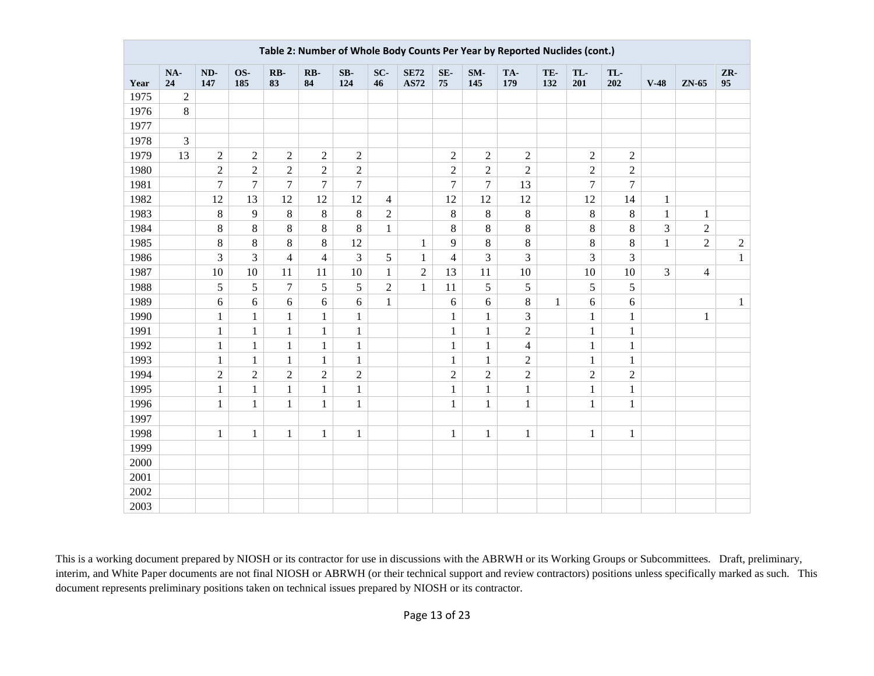|      | Table 2: Number of Whole Body Counts Per Year by Reported Nuclides (cont.) |                |                |                |                |                  |                |                            |                         |                |                |              |                |                |              |                         |              |
|------|----------------------------------------------------------------------------|----------------|----------------|----------------|----------------|------------------|----------------|----------------------------|-------------------------|----------------|----------------|--------------|----------------|----------------|--------------|-------------------------|--------------|
| Year | NA-<br>24                                                                  | ND-<br>147     | OS-<br>185     | RB-<br>83      | RB-<br>84      | $SB-$<br>124     | SC-<br>46      | <b>SE72</b><br><b>AS72</b> | SE-<br>75               | SM-<br>145     | TA-<br>179     | TE-<br>132   | TL-<br>201     | TL-<br>202     | $V-48$       | ZN-65                   | ZR-<br>95    |
| 1975 | $\sqrt{2}$                                                                 |                |                |                |                |                  |                |                            |                         |                |                |              |                |                |              |                         |              |
| 1976 | $8\,$                                                                      |                |                |                |                |                  |                |                            |                         |                |                |              |                |                |              |                         |              |
| 1977 |                                                                            |                |                |                |                |                  |                |                            |                         |                |                |              |                |                |              |                         |              |
| 1978 | 3                                                                          |                |                |                |                |                  |                |                            |                         |                |                |              |                |                |              |                         |              |
| 1979 | 13                                                                         | $\sqrt{2}$     | $\sqrt{2}$     | $\sqrt{2}$     | $\overline{c}$ | $\overline{2}$   |                |                            | $\overline{c}$          | $\sqrt{2}$     | $\overline{2}$ |              | $\sqrt{2}$     | $\overline{2}$ |              |                         |              |
| 1980 |                                                                            | $\sqrt{2}$     | $\sqrt{2}$     | $\sqrt{2}$     | $\overline{c}$ | $\overline{c}$   |                |                            | $\overline{c}$          | $\overline{2}$ | $\sqrt{2}$     |              | $\mathbf{2}$   | $\sqrt{2}$     |              |                         |              |
| 1981 |                                                                            | $\overline{7}$ | $\overline{7}$ | $\overline{7}$ | $\overline{7}$ | $\boldsymbol{7}$ |                |                            | $\overline{7}$          | $\overline{7}$ | 13             |              | $\overline{7}$ | $\tau$         |              |                         |              |
| 1982 |                                                                            | 12             | 13             | 12             | 12             | 12               | $\overline{4}$ |                            | 12                      | 12             | 12             |              | 12             | 14             | $\mathbf{1}$ |                         |              |
| 1983 |                                                                            | $\,8\,$        | 9              | $8\,$          | $\,8\,$        | $\,8\,$          | $\sqrt{2}$     |                            | $8\,$                   | $8\,$          | $\,8\,$        |              | $\,8\,$        | $\,8\,$        | $\mathbf{1}$ | $\mathbf{1}$            |              |
| 1984 |                                                                            | 8              | $\,8\,$        | $8\,$          | $\,8\,$        | 8                | $\mathbf{1}$   |                            | 8                       | $8\,$          | $\,8\,$        |              | $\,8\,$        | $\,8\,$        | 3            | $\overline{2}$          |              |
| 1985 |                                                                            | $\,8\,$        | $8\,$          | $8\,$          | 8              | 12               |                | $\mathbf{1}$               | 9                       | $8\,$          | $\,8\,$        |              | $\,8\,$        | $\,8\,$        | $\mathbf{1}$ | $\overline{2}$          | $\sqrt{2}$   |
| 1986 |                                                                            | 3              | 3              | $\overline{4}$ | $\overline{4}$ | 3                | 5              | 1                          | $\overline{\mathbf{4}}$ | $\overline{3}$ | 3              |              | 3              | $\overline{3}$ |              |                         | $\mathbf{1}$ |
| 1987 |                                                                            | 10             | 10             | 11             | 11             | 10               | $\mathbf{1}$   | $\overline{2}$             | 13                      | 11             | 10             |              | 10             | 10             | 3            | $\overline{\mathbf{4}}$ |              |
| 1988 |                                                                            | 5              | 5              | $\tau$         | 5              | 5                | $\sqrt{2}$     | $\mathbf{1}$               | 11                      | 5              | 5              |              | 5              | 5              |              |                         |              |
| 1989 |                                                                            | 6              | 6              | 6              | 6              | 6                | $\mathbf{1}$   |                            | 6                       | 6              | $\,8\,$        | $\mathbf{1}$ | 6              | 6              |              |                         | $\mathbf{1}$ |
| 1990 |                                                                            | $\,1\,$        | $\mathbf{1}$   | $\mathbf{1}$   | $\mathbf{1}$   | $\mathbf{1}$     |                |                            | $\mathbf{1}$            | $\mathbf{1}$   | 3              |              | $\mathbf{1}$   | $\mathbf{1}$   |              | $\mathbf{1}$            |              |
| 1991 |                                                                            | $\mathbf 1$    | $\mathbf{1}$   | $\mathbf{1}$   | $\mathbf{1}$   | $\,1\,$          |                |                            | $\mathbf{1}$            | $\mathbf{1}$   | $\overline{2}$ |              | $\mathbf{1}$   | $\mathbf{1}$   |              |                         |              |
| 1992 |                                                                            | $\mathbf{1}$   | $\mathbf{1}$   | $\mathbf{1}$   | $\mathbf{1}$   | $\mathbf{1}$     |                |                            | $\mathbf{1}$            | $\mathbf{1}$   | $\overline{4}$ |              | $\mathbf{1}$   | $\,1$          |              |                         |              |
| 1993 |                                                                            | $\mathbf{1}$   | $\mathbf{1}$   | $\mathbf{1}$   | $\mathbf{1}$   | $\mathbf{1}$     |                |                            | $\mathbf{1}$            | $\mathbf{1}$   | $\overline{2}$ |              | $\mathbf{1}$   | $\mathbf{1}$   |              |                         |              |
| 1994 |                                                                            | $\sqrt{2}$     | $\overline{2}$ | $\overline{2}$ | $\overline{c}$ | $\sqrt{2}$       |                |                            | $\overline{2}$          | $\overline{2}$ | $\overline{2}$ |              | $\sqrt{2}$     | $\overline{2}$ |              |                         |              |
| 1995 |                                                                            | $\mathbf{1}$   | $\mathbf{1}$   | $\mathbf{1}$   | $\mathbf{1}$   | $\mathbf{1}$     |                |                            | $\mathbf{1}$            | $\mathbf{1}$   | $\mathbf{1}$   |              | $\mathbf{1}$   | $\mathbf{1}$   |              |                         |              |
| 1996 |                                                                            | $\mathbf{1}$   | $\mathbf{1}$   | $\mathbf{1}$   | $\mathbf{1}$   | $\mathbf{1}$     |                |                            | $\mathbf{1}$            | $\mathbf{1}$   | $\mathbf{1}$   |              | $\mathbf{1}$   | $\mathbf{1}$   |              |                         |              |
| 1997 |                                                                            |                |                |                |                |                  |                |                            |                         |                |                |              |                |                |              |                         |              |
| 1998 |                                                                            | $\mathbf{1}$   | 1              | 1              | $\mathbf{1}$   | $\mathbf{1}$     |                |                            | $\,1$                   | $\mathbf{1}$   | $\mathbf{1}$   |              | $\mathbf{1}$   | $\mathbf{1}$   |              |                         |              |
| 1999 |                                                                            |                |                |                |                |                  |                |                            |                         |                |                |              |                |                |              |                         |              |
| 2000 |                                                                            |                |                |                |                |                  |                |                            |                         |                |                |              |                |                |              |                         |              |
| 2001 |                                                                            |                |                |                |                |                  |                |                            |                         |                |                |              |                |                |              |                         |              |
| 2002 |                                                                            |                |                |                |                |                  |                |                            |                         |                |                |              |                |                |              |                         |              |
| 2003 |                                                                            |                |                |                |                |                  |                |                            |                         |                |                |              |                |                |              |                         |              |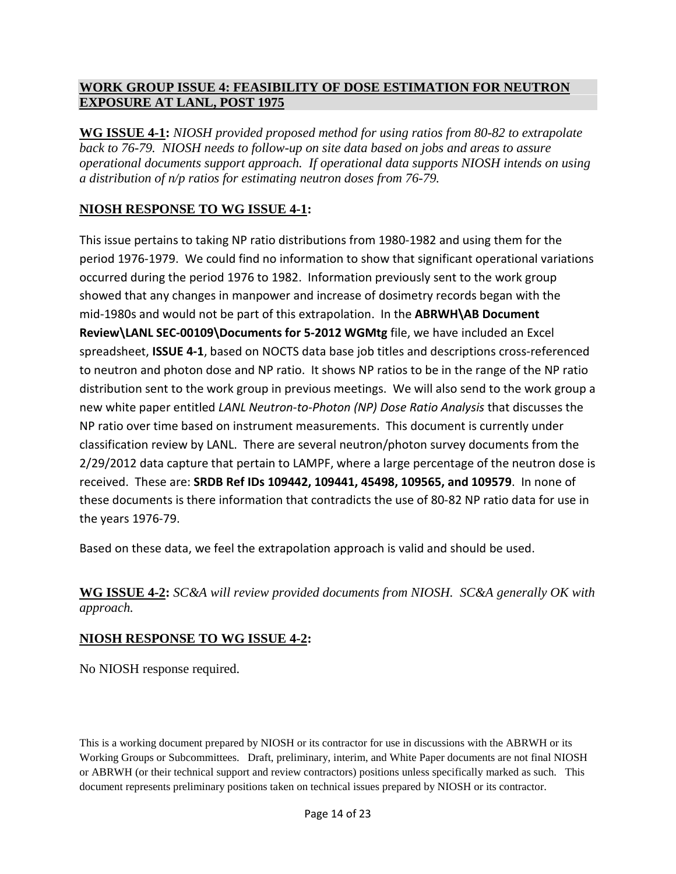#### **WORK GROUP ISSUE 4: FEASIBILITY OF DOSE ESTIMATION FOR NEUTRON EXPOSURE AT LANL, POST 1975**

**WG ISSUE 4-1:** *NIOSH provided proposed method for using ratios from 80-82 to extrapolate back to 76-79. NIOSH needs to follow-up on site data based on jobs and areas to assure operational documents support approach. If operational data supports NIOSH intends on using a distribution of n/p ratios for estimating neutron doses from 76-79.*

# **NIOSH RESPONSE TO WG ISSUE 4-1:**

This issue pertains to taking NP ratio distributions from 1980-1982 and using them for the period 1976-1979. We could find no information to show that significant operational variations occurred during the period 1976 to 1982. Information previously sent to the work group showed that any changes in manpower and increase of dosimetry records began with the mid-1980s and would not be part of this extrapolation. In the **ABRWH\AB Document Review\LANL SEC-00109\Documents for 5-2012 WGMtg** file, we have included an Excel spreadsheet, **ISSUE 4-1**, based on NOCTS data base job titles and descriptions cross-referenced to neutron and photon dose and NP ratio. It shows NP ratios to be in the range of the NP ratio distribution sent to the work group in previous meetings. We will also send to the work group a new white paper entitled *LANL Neutron-to-Photon (NP) Dose Ratio Analysis* that discusses the NP ratio over time based on instrument measurements. This document is currently under classification review by LANL. There are several neutron/photon survey documents from the 2/29/2012 data capture that pertain to LAMPF, where a large percentage of the neutron dose is received. These are: **SRDB Ref IDs 109442, 109441, 45498, 109565, and 109579**. In none of these documents is there information that contradicts the use of 80-82 NP ratio data for use in the years 1976-79.

Based on these data, we feel the extrapolation approach is valid and should be used.

**WG ISSUE 4-2:** *SC&A will review provided documents from NIOSH. SC&A generally OK with approach.*

#### **NIOSH RESPONSE TO WG ISSUE 4-2:**

No NIOSH response required.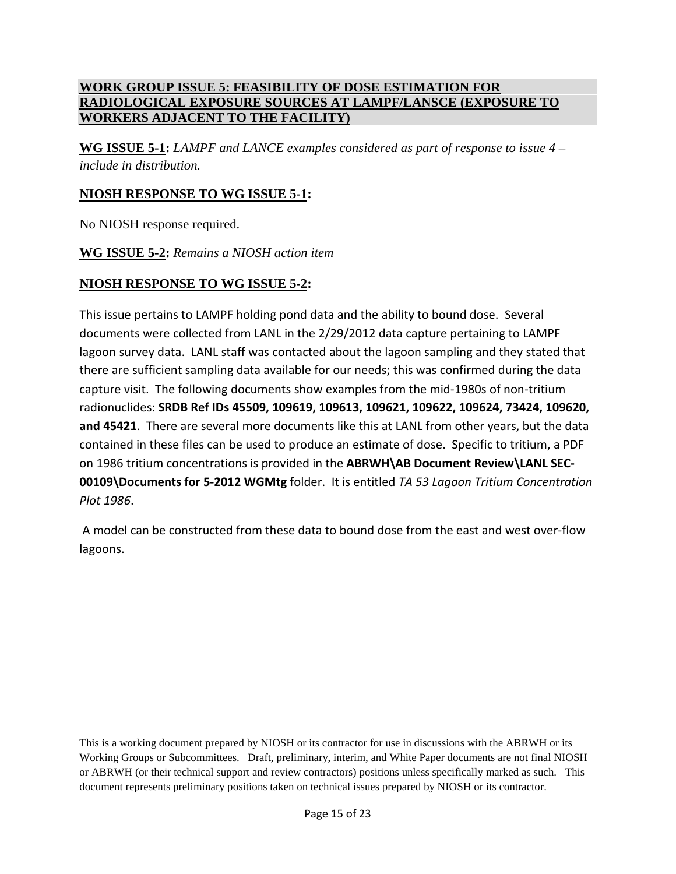#### **WORK GROUP ISSUE 5: FEASIBILITY OF DOSE ESTIMATION FOR RADIOLOGICAL EXPOSURE SOURCES AT LAMPF/LANSCE (EXPOSURE TO WORKERS ADJACENT TO THE FACILITY)**

**WG ISSUE 5-1:** *LAMPF and LANCE examples considered as part of response to issue 4 – include in distribution.*

# **NIOSH RESPONSE TO WG ISSUE 5-1:**

No NIOSH response required.

**WG ISSUE 5-2:** *Remains a NIOSH action item*

# **NIOSH RESPONSE TO WG ISSUE 5-2:**

This issue pertains to LAMPF holding pond data and the ability to bound dose. Several documents were collected from LANL in the 2/29/2012 data capture pertaining to LAMPF lagoon survey data. LANL staff was contacted about the lagoon sampling and they stated that there are sufficient sampling data available for our needs; this was confirmed during the data capture visit. The following documents show examples from the mid-1980s of non-tritium radionuclides: **SRDB Ref IDs 45509, 109619, 109613, 109621, 109622, 109624, 73424, 109620, and 45421**. There are several more documents like this at LANL from other years, but the data contained in these files can be used to produce an estimate of dose. Specific to tritium, a PDF on 1986 tritium concentrations is provided in the **ABRWH\AB Document Review\LANL SEC-00109\Documents for 5-2012 WGMtg** folder. It is entitled *TA 53 Lagoon Tritium Concentration Plot 1986*.

A model can be constructed from these data to bound dose from the east and west over-flow lagoons.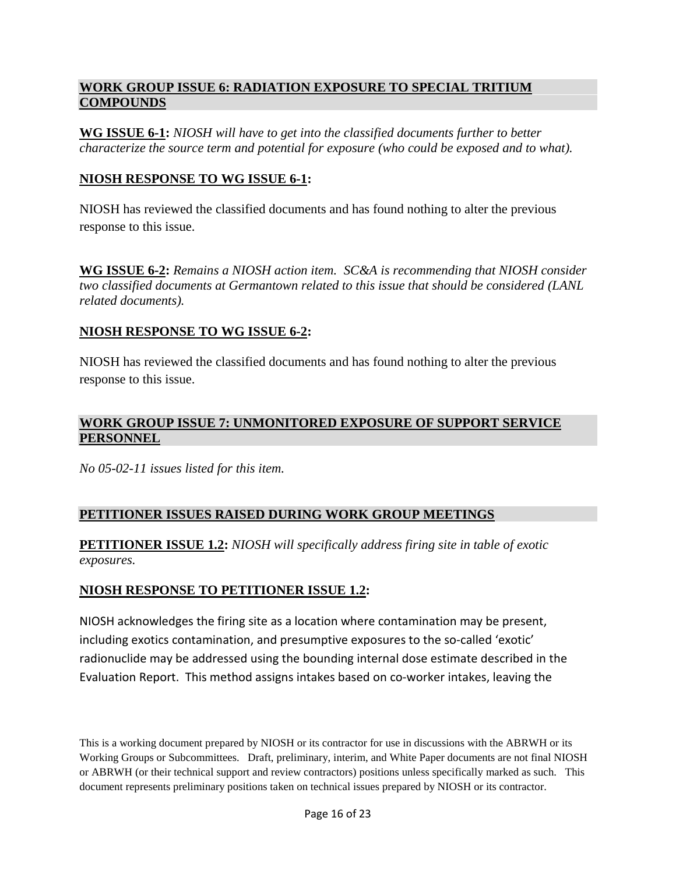#### **WORK GROUP ISSUE 6: RADIATION EXPOSURE TO SPECIAL TRITIUM COMPOUNDS**

**WG ISSUE 6-1:** *NIOSH will have to get into the classified documents further to better characterize the source term and potential for exposure (who could be exposed and to what).*

#### **NIOSH RESPONSE TO WG ISSUE 6-1:**

NIOSH has reviewed the classified documents and has found nothing to alter the previous response to this issue.

**WG ISSUE 6-2:** *Remains a NIOSH action item. SC&A is recommending that NIOSH consider two classified documents at Germantown related to this issue that should be considered (LANL related documents).*

#### **NIOSH RESPONSE TO WG ISSUE 6-2:**

NIOSH has reviewed the classified documents and has found nothing to alter the previous response to this issue.

# **WORK GROUP ISSUE 7: UNMONITORED EXPOSURE OF SUPPORT SERVICE PERSONNEL**

*No 05-02-11 issues listed for this item.*

# **PETITIONER ISSUES RAISED DURING WORK GROUP MEETINGS**

**PETITIONER ISSUE 1.2:** *NIOSH will specifically address firing site in table of exotic exposures.*

# **NIOSH RESPONSE TO PETITIONER ISSUE 1.2:**

NIOSH acknowledges the firing site as a location where contamination may be present, including exotics contamination, and presumptive exposures to the so-called 'exotic' radionuclide may be addressed using the bounding internal dose estimate described in the Evaluation Report. This method assigns intakes based on co-worker intakes, leaving the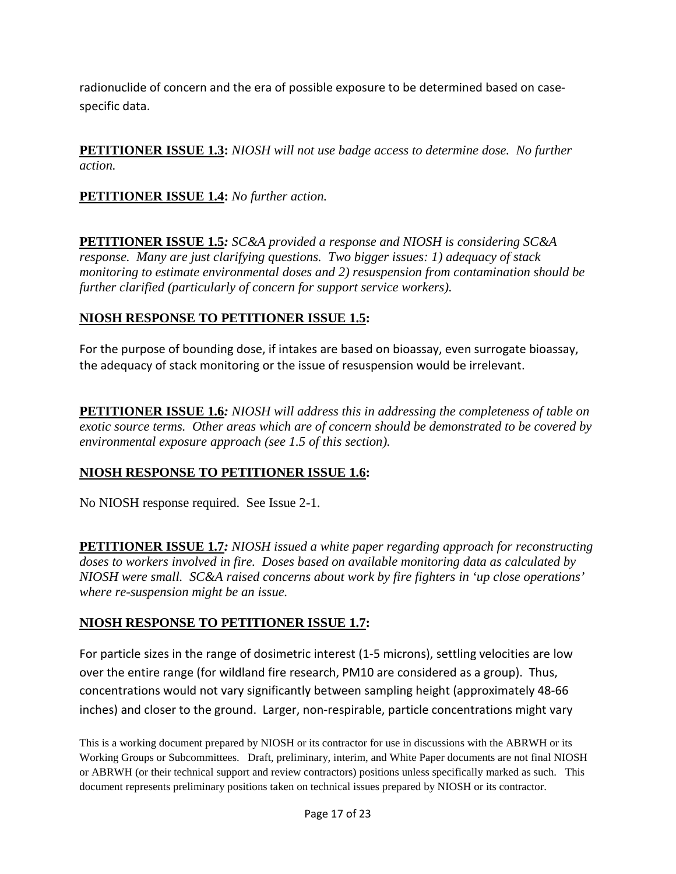radionuclide of concern and the era of possible exposure to be determined based on casespecific data.

**PETITIONER ISSUE 1.3:** *NIOSH will not use badge access to determine dose. No further action.*

**PETITIONER ISSUE 1.4:** *No further action.*

**PETITIONER ISSUE 1.5***: SC&A provided a response and NIOSH is considering SC&A response. Many are just clarifying questions. Two bigger issues: 1) adequacy of stack monitoring to estimate environmental doses and 2) resuspension from contamination should be further clarified (particularly of concern for support service workers).*

# **NIOSH RESPONSE TO PETITIONER ISSUE 1.5:**

For the purpose of bounding dose, if intakes are based on bioassay, even surrogate bioassay, the adequacy of stack monitoring or the issue of resuspension would be irrelevant.

**PETITIONER ISSUE 1.6***: NIOSH will address this in addressing the completeness of table on exotic source terms. Other areas which are of concern should be demonstrated to be covered by environmental exposure approach (see 1.5 of this section).*

# **NIOSH RESPONSE TO PETITIONER ISSUE 1.6:**

No NIOSH response required. See Issue 2-1.

**PETITIONER ISSUE 1.7***: NIOSH issued a white paper regarding approach for reconstructing doses to workers involved in fire. Doses based on available monitoring data as calculated by NIOSH were small. SC&A raised concerns about work by fire fighters in 'up close operations' where re-suspension might be an issue.*

# **NIOSH RESPONSE TO PETITIONER ISSUE 1.7:**

For particle sizes in the range of dosimetric interest (1-5 microns), settling velocities are low over the entire range (for wildland fire research, PM10 are considered as a group). Thus, concentrations would not vary significantly between sampling height (approximately 48-66 inches) and closer to the ground. Larger, non-respirable, particle concentrations might vary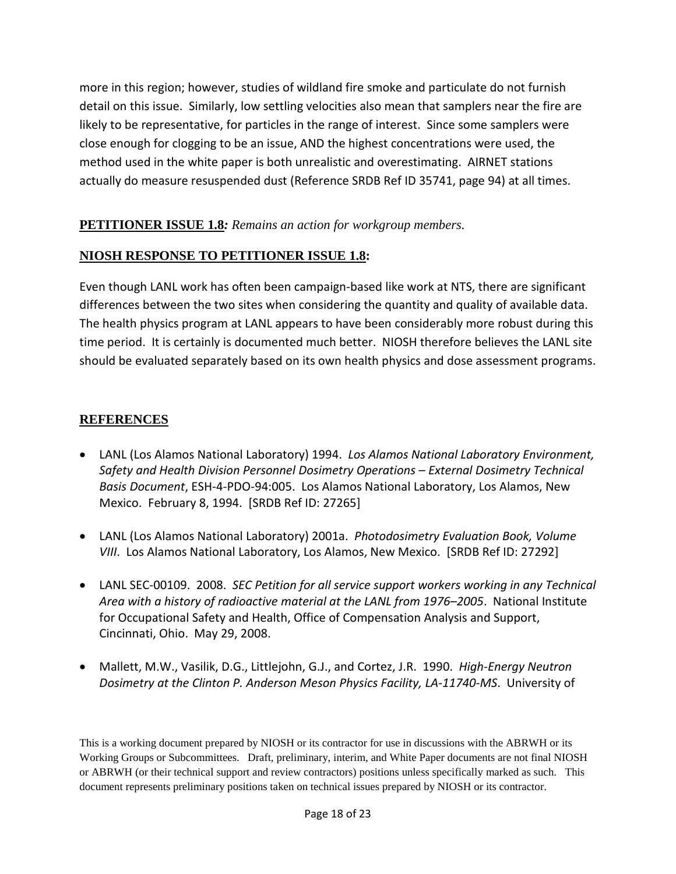more in this region; however, studies of wildland fire smoke and particulate do not furnish detail on this issue. Similarly, low settling velocities also mean that samplers near the fire are likely to be representative, for particles in the range of interest. Since some samplers were close enough for clogging to be an issue, AND the highest concentrations were used, the method used in the white paper is both unrealistic and overestimating. AIRNET stations actually do measure resuspended dust (Reference SRDB Ref ID 35741, page 94) at all times.

# **PETITIONER ISSUE 1.8***: Remains an action for workgroup members.*

#### **NIOSH RESPONSE TO PETITIONER ISSUE 1.8:**

Even though LANL work has often been campaign-based like work at NTS, there are significant differences between the two sites when considering the quantity and quality of available data. The health physics program at LANL appears to have been considerably more robust during this time period. It is certainly is documented much better. NIOSH therefore believes the LANL site should be evaluated separately based on its own health physics and dose assessment programs.

# **REFERENCES**

- LANL (Los Alamos National Laboratory) 1994. *Los Alamos National Laboratory Environment, Safety and Health Division Personnel Dosimetry Operations – External Dosimetry Technical Basis Document*, ESH-4-PDO-94:005. Los Alamos National Laboratory, Los Alamos, New Mexico. February 8, 1994. [SRDB Ref ID: 27265]
- LANL (Los Alamos National Laboratory) 2001a. *Photodosimetry Evaluation Book, Volume VIII*. Los Alamos National Laboratory, Los Alamos, New Mexico. [SRDB Ref ID: 27292]
- LANL SEC-00109. 2008. *SEC Petition for all service support workers working in any Technical Area with a history of radioactive material at the LANL from 1976–2005*. National Institute for Occupational Safety and Health, Office of Compensation Analysis and Support, Cincinnati, Ohio. May 29, 2008.
- Mallett, M.W., Vasilik, D.G., Littlejohn, G.J., and Cortez, J.R. 1990. *High-Energy Neutron Dosimetry at the Clinton P. Anderson Meson Physics Facility, LA-11740-MS*. University of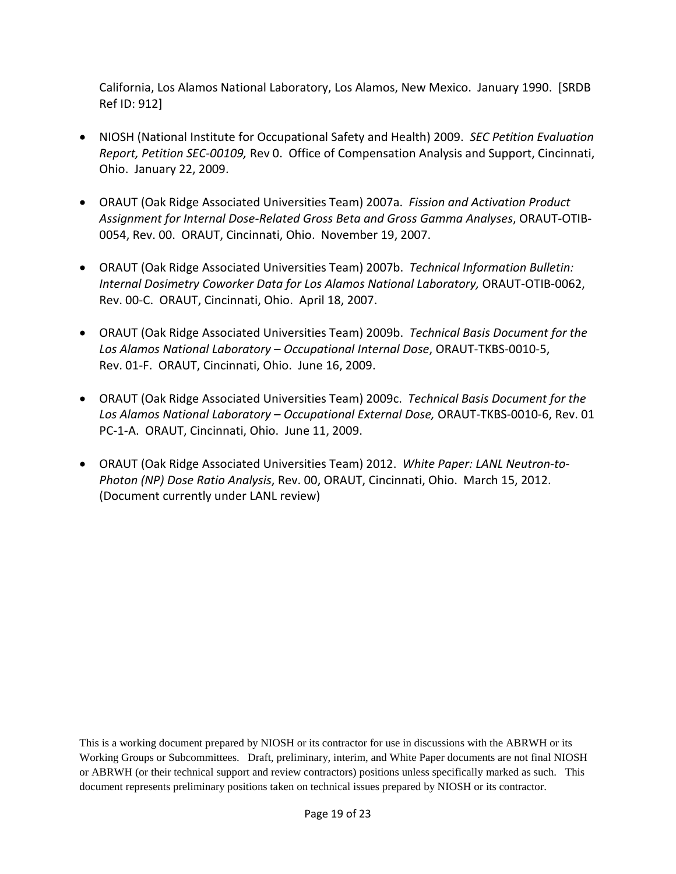California, Los Alamos National Laboratory, Los Alamos, New Mexico. January 1990. [SRDB Ref ID: 912]

- NIOSH (National Institute for Occupational Safety and Health) 2009. *SEC Petition Evaluation Report, Petition SEC-00109,* Rev 0. Office of Compensation Analysis and Support, Cincinnati, Ohio. January 22, 2009.
- ORAUT (Oak Ridge Associated Universities Team) 2007a. *Fission and Activation Product Assignment for Internal Dose-Related Gross Beta and Gross Gamma Analyses*, ORAUT-OTIB-0054, Rev. 00. ORAUT, Cincinnati, Ohio. November 19, 2007.
- ORAUT (Oak Ridge Associated Universities Team) 2007b. *Technical Information Bulletin: Internal Dosimetry Coworker Data for Los Alamos National Laboratory,* ORAUT-OTIB-0062, Rev. 00-C. ORAUT, Cincinnati, Ohio. April 18, 2007.
- ORAUT (Oak Ridge Associated Universities Team) 2009b. *Technical Basis Document for the Los Alamos National Laboratory – Occupational Internal Dose*, ORAUT-TKBS-0010-5, Rev. 01-F. ORAUT, Cincinnati, Ohio. June 16, 2009.
- ORAUT (Oak Ridge Associated Universities Team) 2009c. *Technical Basis Document for the Los Alamos National Laboratory – Occupational External Dose,* ORAUT-TKBS-0010-6, Rev. 01 PC-1-A. ORAUT, Cincinnati, Ohio. June 11, 2009.
- ORAUT (Oak Ridge Associated Universities Team) 2012. *White Paper: LANL Neutron-to-Photon (NP) Dose Ratio Analysis*, Rev. 00, ORAUT, Cincinnati, Ohio. March 15, 2012. (Document currently under LANL review)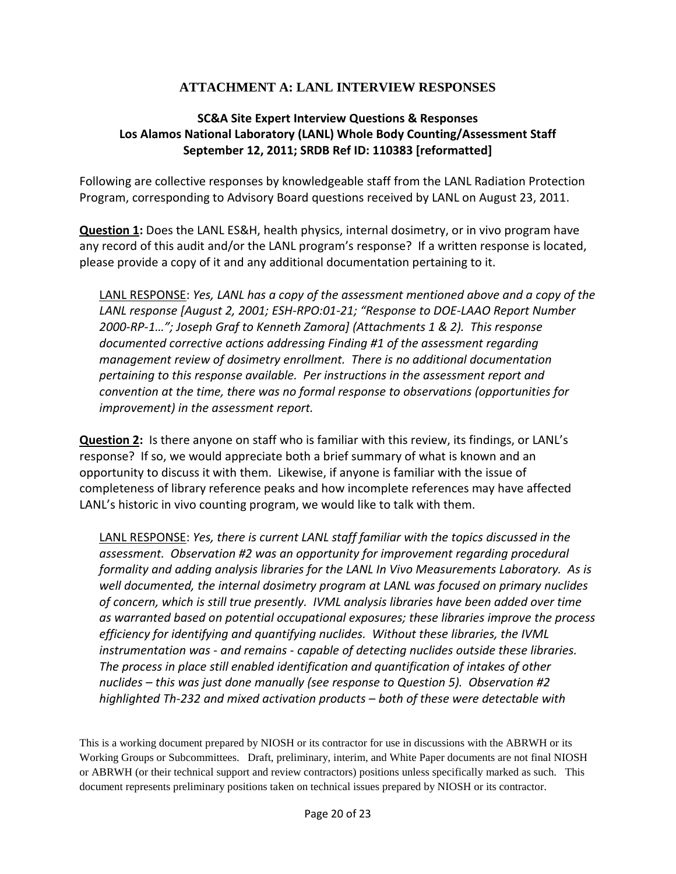## **ATTACHMENT A: LANL INTERVIEW RESPONSES**

## **SC&A Site Expert Interview Questions & Responses Los Alamos National Laboratory (LANL) Whole Body Counting/Assessment Staff September 12, 2011; SRDB Ref ID: 110383 [reformatted]**

Following are collective responses by knowledgeable staff from the LANL Radiation Protection Program, corresponding to Advisory Board questions received by LANL on August 23, 2011.

**Question 1:** Does the LANL ES&H, health physics, internal dosimetry, or in vivo program have any record of this audit and/or the LANL program's response? If a written response is located, please provide a copy of it and any additional documentation pertaining to it.

LANL RESPONSE: *Yes, LANL has a copy of the assessment mentioned above and a copy of the LANL response [August 2, 2001; ESH-RPO:01-21; "Response to DOE-LAAO Report Number 2000-RP-1…"; Joseph Graf to Kenneth Zamora] (Attachments 1 & 2). This response documented corrective actions addressing Finding #1 of the assessment regarding management review of dosimetry enrollment. There is no additional documentation pertaining to this response available. Per instructions in the assessment report and convention at the time, there was no formal response to observations (opportunities for improvement) in the assessment report.*

**Question 2:** Is there anyone on staff who is familiar with this review, its findings, or LANL's response? If so, we would appreciate both a brief summary of what is known and an opportunity to discuss it with them. Likewise, if anyone is familiar with the issue of completeness of library reference peaks and how incomplete references may have affected LANL's historic in vivo counting program, we would like to talk with them.

LANL RESPONSE: *Yes, there is current LANL staff familiar with the topics discussed in the assessment. Observation #2 was an opportunity for improvement regarding procedural formality and adding analysis libraries for the LANL In Vivo Measurements Laboratory. As is well documented, the internal dosimetry program at LANL was focused on primary nuclides of concern, which is still true presently. IVML analysis libraries have been added over time as warranted based on potential occupational exposures; these libraries improve the process efficiency for identifying and quantifying nuclides. Without these libraries, the IVML instrumentation was - and remains - capable of detecting nuclides outside these libraries. The process in place still enabled identification and quantification of intakes of other nuclides – this was just done manually (see response to Question 5). Observation #2 highlighted Th-232 and mixed activation products – both of these were detectable with*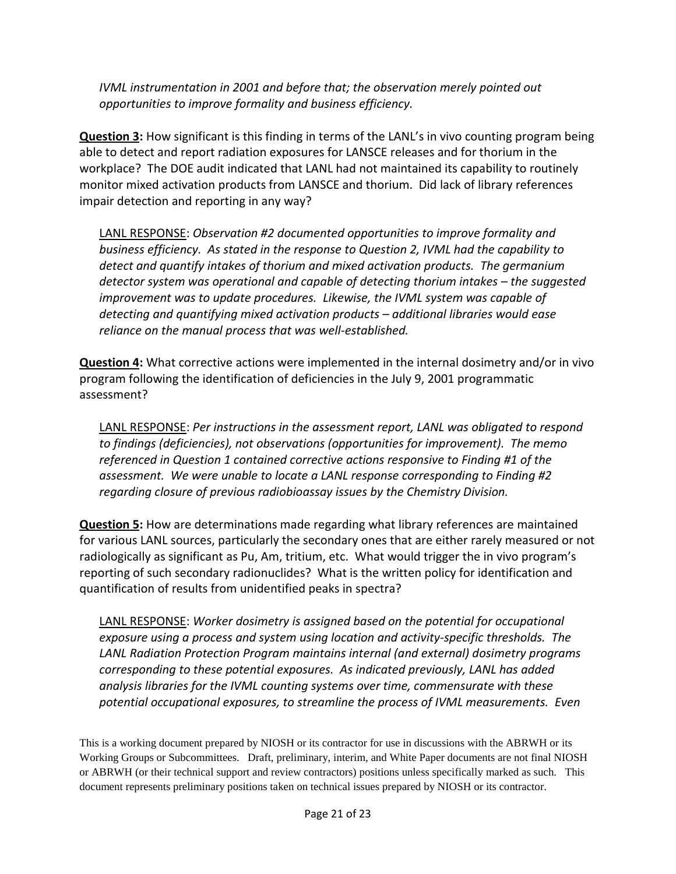*IVML instrumentation in 2001 and before that; the observation merely pointed out opportunities to improve formality and business efficiency.*

**Question 3:** How significant is this finding in terms of the LANL's in vivo counting program being able to detect and report radiation exposures for LANSCE releases and for thorium in the workplace? The DOE audit indicated that LANL had not maintained its capability to routinely monitor mixed activation products from LANSCE and thorium. Did lack of library references impair detection and reporting in any way?

LANL RESPONSE: *Observation #2 documented opportunities to improve formality and business efficiency. As stated in the response to Question 2, IVML had the capability to detect and quantify intakes of thorium and mixed activation products. The germanium detector system was operational and capable of detecting thorium intakes – the suggested improvement was to update procedures. Likewise, the IVML system was capable of detecting and quantifying mixed activation products – additional libraries would ease reliance on the manual process that was well-established.* 

**Question 4:** What corrective actions were implemented in the internal dosimetry and/or in vivo program following the identification of deficiencies in the July 9, 2001 programmatic assessment?

LANL RESPONSE: *Per instructions in the assessment report, LANL was obligated to respond to findings (deficiencies), not observations (opportunities for improvement). The memo referenced in Question 1 contained corrective actions responsive to Finding #1 of the assessment. We were unable to locate a LANL response corresponding to Finding #2 regarding closure of previous radiobioassay issues by the Chemistry Division.* 

**Question 5:** How are determinations made regarding what library references are maintained for various LANL sources, particularly the secondary ones that are either rarely measured or not radiologically as significant as Pu, Am, tritium, etc. What would trigger the in vivo program's reporting of such secondary radionuclides? What is the written policy for identification and quantification of results from unidentified peaks in spectra?

LANL RESPONSE: *Worker dosimetry is assigned based on the potential for occupational exposure using a process and system using location and activity-specific thresholds. The LANL Radiation Protection Program maintains internal (and external) dosimetry programs corresponding to these potential exposures. As indicated previously, LANL has added analysis libraries for the IVML counting systems over time, commensurate with these potential occupational exposures, to streamline the process of IVML measurements. Even*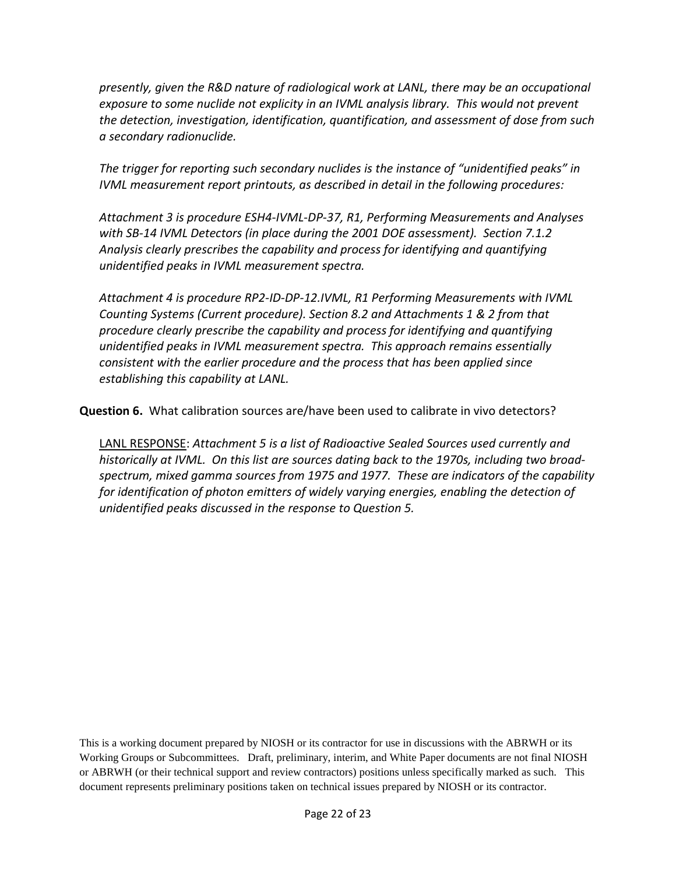*presently, given the R&D nature of radiological work at LANL, there may be an occupational exposure to some nuclide not explicity in an IVML analysis library. This would not prevent the detection, investigation, identification, quantification, and assessment of dose from such a secondary radionuclide.*

*The trigger for reporting such secondary nuclides is the instance of "unidentified peaks" in IVML measurement report printouts, as described in detail in the following procedures:* 

*Attachment 3 is procedure ESH4-IVML-DP-37, R1, Performing Measurements and Analyses with SB-14 IVML Detectors (in place during the 2001 DOE assessment). Section 7.1.2 Analysis clearly prescribes the capability and process for identifying and quantifying unidentified peaks in IVML measurement spectra.*

*Attachment 4 is procedure RP2-ID-DP-12.IVML, R1 Performing Measurements with IVML Counting Systems (Current procedure). Section 8.2 and Attachments 1 & 2 from that procedure clearly prescribe the capability and process for identifying and quantifying unidentified peaks in IVML measurement spectra. This approach remains essentially consistent with the earlier procedure and the process that has been applied since establishing this capability at LANL.*

**Question 6.** What calibration sources are/have been used to calibrate in vivo detectors?

LANL RESPONSE: *Attachment 5 is a list of Radioactive Sealed Sources used currently and historically at IVML. On this list are sources dating back to the 1970s, including two broadspectrum, mixed gamma sources from 1975 and 1977. These are indicators of the capability for identification of photon emitters of widely varying energies, enabling the detection of unidentified peaks discussed in the response to Question 5.*